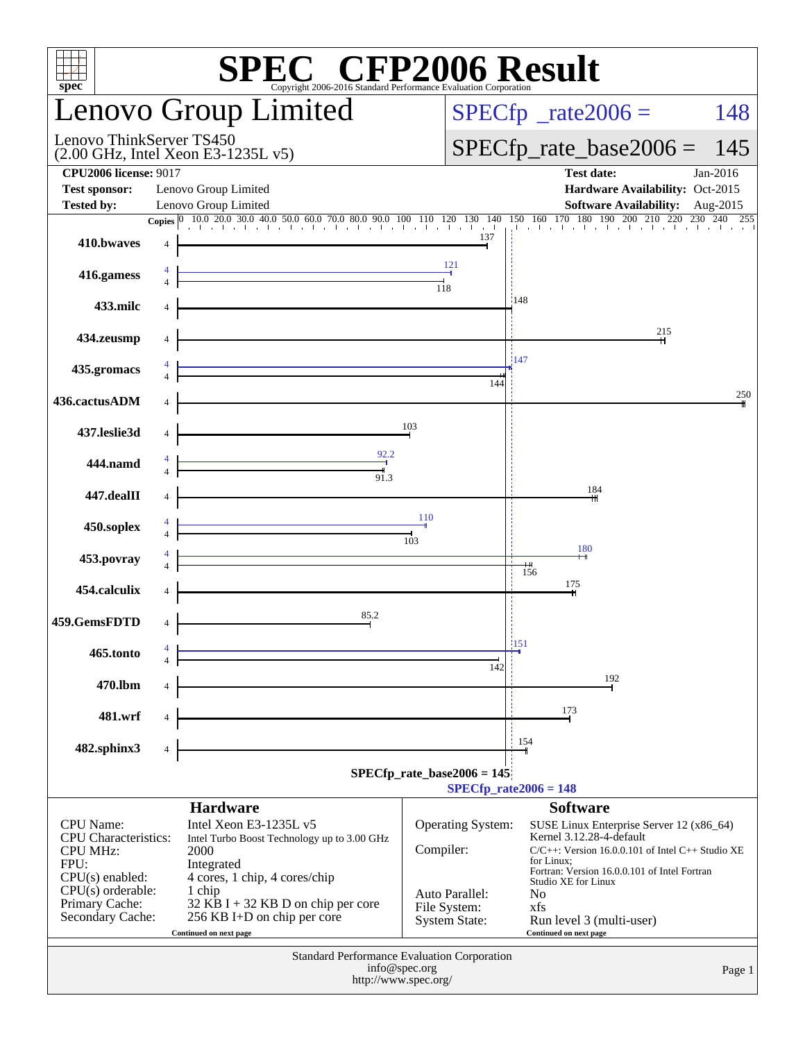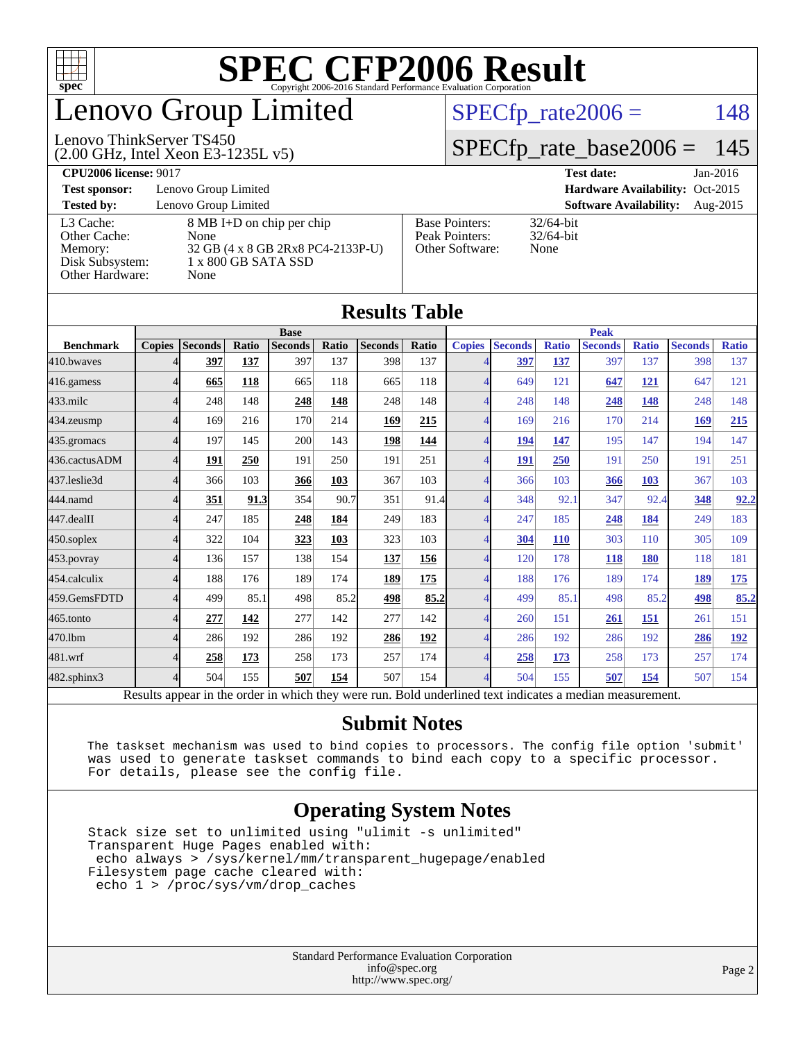

## enovo Group Limited

#### (2.00 GHz, Intel Xeon E3-1235L v5) Lenovo ThinkServer TS450

 $SPECTp_rate2006 = 148$ 

### [SPECfp\\_rate\\_base2006 =](http://www.spec.org/auto/cpu2006/Docs/result-fields.html#SPECfpratebase2006) 145

**[CPU2006 license:](http://www.spec.org/auto/cpu2006/Docs/result-fields.html#CPU2006license)** 9017 **[Test date:](http://www.spec.org/auto/cpu2006/Docs/result-fields.html#Testdate)** Jan-2016

**[Test sponsor:](http://www.spec.org/auto/cpu2006/Docs/result-fields.html#Testsponsor)** Lenovo Group Limited **[Hardware Availability:](http://www.spec.org/auto/cpu2006/Docs/result-fields.html#HardwareAvailability)** Oct-2015

**[Tested by:](http://www.spec.org/auto/cpu2006/Docs/result-fields.html#Testedby)** Lenovo Group Limited **[Software Availability:](http://www.spec.org/auto/cpu2006/Docs/result-fields.html#SoftwareAvailability)** Aug-2015 [Other Cache:](http://www.spec.org/auto/cpu2006/Docs/result-fields.html#OtherCache) [Disk Subsystem:](http://www.spec.org/auto/cpu2006/Docs/result-fields.html#DiskSubsystem) 1 x 800 GB SATA SSD [Other Hardware:](http://www.spec.org/auto/cpu2006/Docs/result-fields.html#OtherHardware) None

[L3 Cache:](http://www.spec.org/auto/cpu2006/Docs/result-fields.html#L3Cache) 8 MB I+D on chip per chip<br>Other Cache: None [Memory:](http://www.spec.org/auto/cpu2006/Docs/result-fields.html#Memory) 32 GB (4 x 8 GB 2Rx8 PC4-2133P-U)

| <b>Base Pointers:</b> | $32/64$ -bit |
|-----------------------|--------------|
| Peak Pointers:        | $32/64$ -bit |
| Other Software:       | None         |
|                       |              |

None

| <b>Results Table</b> |                                                                                                          |                |       |                |       |                |       |                          |                |              |                |              |                |              |
|----------------------|----------------------------------------------------------------------------------------------------------|----------------|-------|----------------|-------|----------------|-------|--------------------------|----------------|--------------|----------------|--------------|----------------|--------------|
|                      | <b>Base</b>                                                                                              |                |       |                |       |                |       | <b>Peak</b>              |                |              |                |              |                |              |
| <b>Benchmark</b>     | <b>Copies</b>                                                                                            | <b>Seconds</b> | Ratio | <b>Seconds</b> | Ratio | <b>Seconds</b> | Ratio | <b>Copies</b>            | <b>Seconds</b> | <b>Ratio</b> | <b>Seconds</b> | <b>Ratio</b> | <b>Seconds</b> | <b>Ratio</b> |
| 410.bwayes           |                                                                                                          | 397            | 137   | 397            | 137   | 398            | 137   |                          | 397            | 137          | 397            | 137          | 398            | 137          |
| 416.gamess           |                                                                                                          | 665            | 118   | 665            | 118   | 665            | 118   | $\boldsymbol{\varDelta}$ | 649            | 121          | 647            | <u>121</u>   | 647            | 121          |
| 433.milc             |                                                                                                          | 248            | 148   | 248            | 148   | 248            | 148   | $\overline{4}$           | 248            | 148          | 248            | 148          | 248            | 148          |
| 434.zeusmp           |                                                                                                          | 169            | 216   | 170            | 214   | 169            | 215   | 4                        | 169            | 216          | 170            | 214          | 169            | 215          |
| 435.gromacs          |                                                                                                          | 197            | 145   | 200            | 143   | 198            | 144   | $\overline{\mathcal{A}}$ | 194            | 147          | 195            | 147          | 194            | 147          |
| 436.cactusADM        | Δ                                                                                                        | 191            | 250   | 191            | 250   | 191            | 251   | $\overline{\mathcal{A}}$ | 191            | 250          | 191            | 250          | 191            | 251          |
| 437.leslie3d         | Δ                                                                                                        | 366            | 103   | 366            | 103   | 367            | 103   | 4                        | 366            | 103          | 366            | 103          | 367            | 103          |
| 444.namd             |                                                                                                          | 351            | 91.3  | 354            | 90.7  | 351            | 91.4  | $\overline{\mathcal{A}}$ | 348            | 92.1         | 347            | 92.4         | 348            | 92.2         |
| 447.dealII           |                                                                                                          | 247            | 185   | 248            | 184   | 249            | 183   | $\overline{\mathcal{A}}$ | 247            | 185          | 248            | 184          | 249            | 183          |
| 450.soplex           |                                                                                                          | 322            | 104   | 323            | 103   | 323            | 103   | 4                        | 304            | <b>110</b>   | 303            | 110          | 305            | 109          |
| $453$ .povray        |                                                                                                          | 136            | 157   | 138            | 154   | 137            | 156   | 4                        | 120            | 178          | 118            | 180          | 118            | 181          |
| 454.calculix         |                                                                                                          | 188            | 176   | 189            | 174   | 189            | 175   | $\overline{4}$           | 188            | 176          | 189            | 174          | 189            | <u>175</u>   |
| 459.GemsFDTD         |                                                                                                          | 499            | 85.1  | 498            | 85.2  | 498            | 85.2  | $\overline{\mathcal{A}}$ | 499            | 85.1         | 498            | 85.2         | 498            | 85.2         |
| $465$ .tonto         |                                                                                                          | 277            | 142   | 277            | 142   | 277            | 142   | $\overline{\mathcal{A}}$ | 260            | 151          | 261            | 151          | 261            | 151          |
| 470.1bm              |                                                                                                          | 286            | 192   | 286            | 192   | 286            | 192   | $\overline{\mathcal{A}}$ | 286            | 192          | 286            | 192          | 286            | 192          |
| 481.wrf              |                                                                                                          | 258            | 173   | 258            | 173   | 257            | 174   | $\overline{4}$           | 258            | 173          | 258            | 173          | 257            | 174          |
| 482.sphinx3          | Δ                                                                                                        | 504            | 155   | 507            | 154   | 507            | 154   | $\overline{\mathcal{A}}$ | 504            | 155          | 507            | 154          | 507            | 154          |
|                      | Results appear in the order in which they were run. Bold underlined text indicates a median measurement. |                |       |                |       |                |       |                          |                |              |                |              |                |              |

### **[Submit Notes](http://www.spec.org/auto/cpu2006/Docs/result-fields.html#SubmitNotes)**

 The taskset mechanism was used to bind copies to processors. The config file option 'submit' was used to generate taskset commands to bind each copy to a specific processor. For details, please see the config file.

### **[Operating System Notes](http://www.spec.org/auto/cpu2006/Docs/result-fields.html#OperatingSystemNotes)**

 Stack size set to unlimited using "ulimit -s unlimited" Transparent Huge Pages enabled with: echo always > /sys/kernel/mm/transparent\_hugepage/enabled Filesystem page cache cleared with: echo 1 > /proc/sys/vm/drop\_caches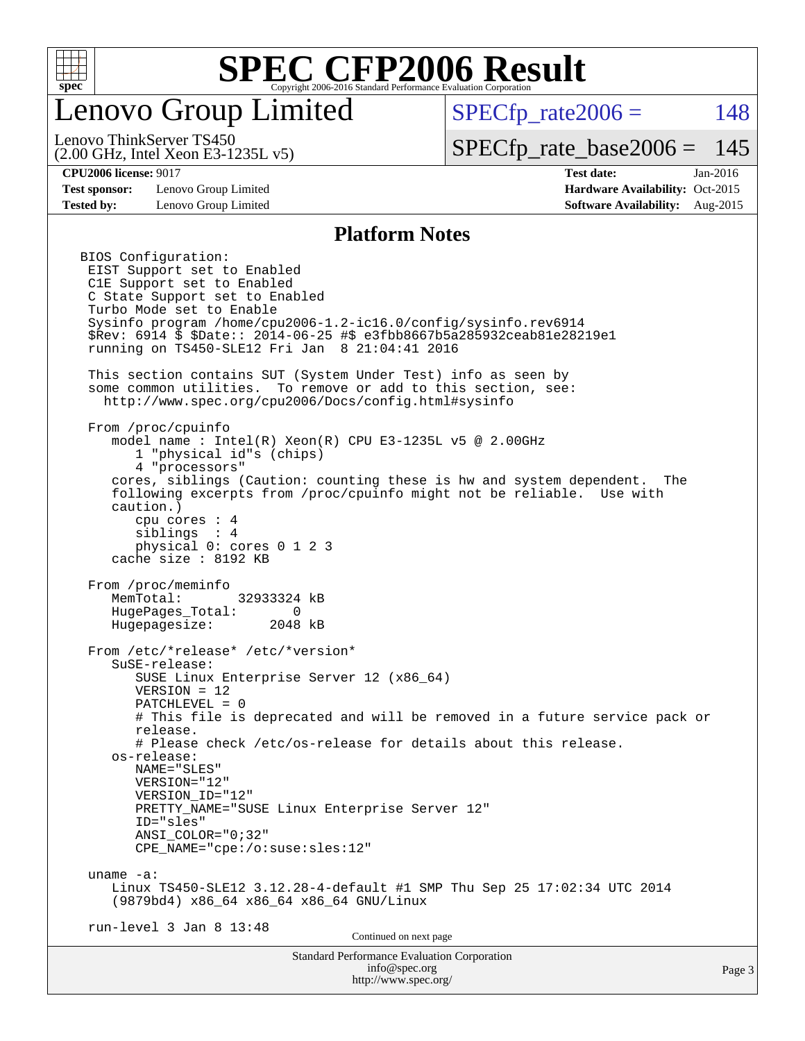

### enovo Group Limited

 $SPECTp\_rate2006 = 148$ 

(2.00 GHz, Intel Xeon E3-1235L v5) Lenovo ThinkServer TS450

[SPECfp\\_rate\\_base2006 =](http://www.spec.org/auto/cpu2006/Docs/result-fields.html#SPECfpratebase2006) 145

**[Test sponsor:](http://www.spec.org/auto/cpu2006/Docs/result-fields.html#Testsponsor)** Lenovo Group Limited **[Hardware Availability:](http://www.spec.org/auto/cpu2006/Docs/result-fields.html#HardwareAvailability)** Oct-2015

**[CPU2006 license:](http://www.spec.org/auto/cpu2006/Docs/result-fields.html#CPU2006license)** 9017 **[Test date:](http://www.spec.org/auto/cpu2006/Docs/result-fields.html#Testdate)** Jan-2016 **[Tested by:](http://www.spec.org/auto/cpu2006/Docs/result-fields.html#Testedby)** Lenovo Group Limited **[Software Availability:](http://www.spec.org/auto/cpu2006/Docs/result-fields.html#SoftwareAvailability)** Aug-2015

#### **[Platform Notes](http://www.spec.org/auto/cpu2006/Docs/result-fields.html#PlatformNotes)**

Standard Performance Evaluation Corporation [info@spec.org](mailto:info@spec.org) BIOS Configuration: EIST Support set to Enabled C1E Support set to Enabled C State Support set to Enabled Turbo Mode set to Enable Sysinfo program /home/cpu2006-1.2-ic16.0/config/sysinfo.rev6914 \$Rev: 6914 \$ \$Date:: 2014-06-25 #\$ e3fbb8667b5a285932ceab81e28219e1 running on TS450-SLE12 Fri Jan 8 21:04:41 2016 This section contains SUT (System Under Test) info as seen by some common utilities. To remove or add to this section, see: <http://www.spec.org/cpu2006/Docs/config.html#sysinfo> From /proc/cpuinfo model name : Intel(R) Xeon(R) CPU E3-1235L v5 @ 2.00GHz 1 "physical id"s (chips) 4 "processors" cores, siblings (Caution: counting these is hw and system dependent. The following excerpts from /proc/cpuinfo might not be reliable. Use with caution.) cpu cores : 4 siblings : 4 physical 0: cores 0 1 2 3 cache size : 8192 KB From /proc/meminfo MemTotal: 32933324 kB HugePages\_Total: 0<br>Hugepagesize: 2048 kB Hugepagesize: From /etc/\*release\* /etc/\*version\* SuSE-release: SUSE Linux Enterprise Server 12 (x86\_64) VERSION = 12 PATCHLEVEL = 0 # This file is deprecated and will be removed in a future service pack or release. # Please check /etc/os-release for details about this release. os-release: NAME="SLES" VERSION="12" VERSION\_ID="12" PRETTY\_NAME="SUSE Linux Enterprise Server 12" ID="sles" ANSI\_COLOR="0;32" CPE\_NAME="cpe:/o:suse:sles:12" uname -a: Linux TS450-SLE12 3.12.28-4-default #1 SMP Thu Sep 25 17:02:34 UTC 2014 (9879bd4) x86\_64 x86\_64 x86\_64 GNU/Linux run-level 3 Jan 8 13:48 Continued on next page

<http://www.spec.org/>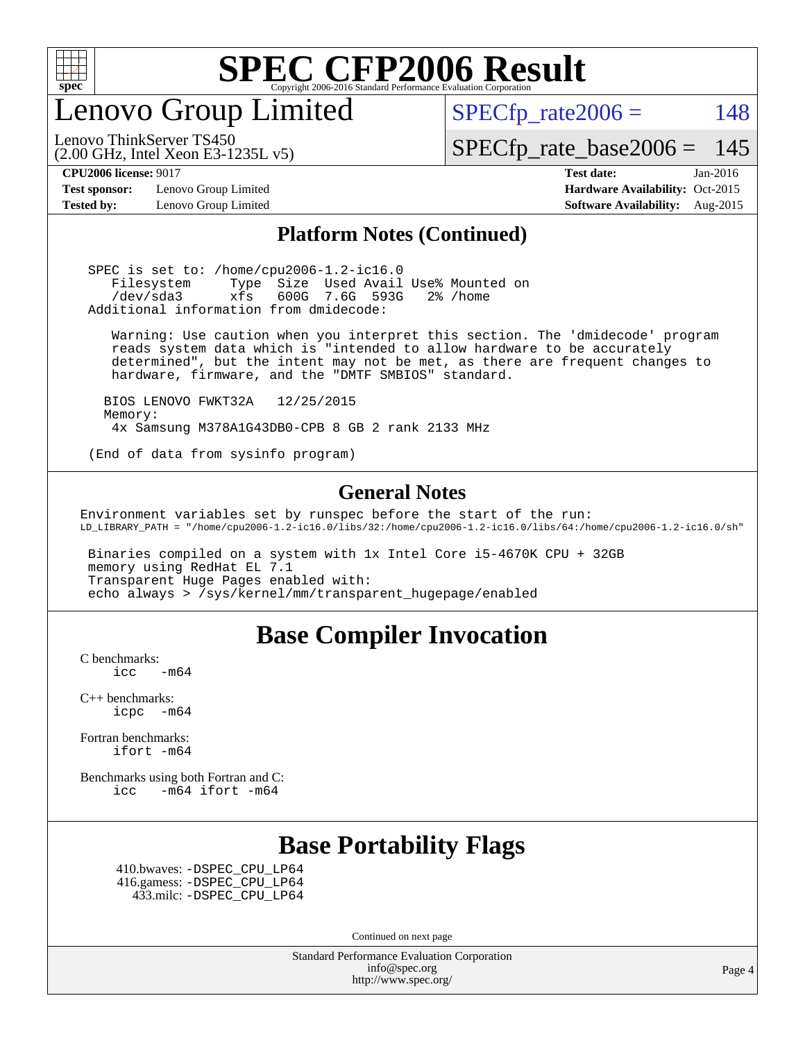

enovo Group Limited

 $SPECTp_rate2006 = 148$ 

[SPECfp\\_rate\\_base2006 =](http://www.spec.org/auto/cpu2006/Docs/result-fields.html#SPECfpratebase2006) 145

Lenovo ThinkServer TS450

**[Test sponsor:](http://www.spec.org/auto/cpu2006/Docs/result-fields.html#Testsponsor)** Lenovo Group Limited **[Hardware Availability:](http://www.spec.org/auto/cpu2006/Docs/result-fields.html#HardwareAvailability)** Oct-2015

(2.00 GHz, Intel Xeon E3-1235L v5)

**[CPU2006 license:](http://www.spec.org/auto/cpu2006/Docs/result-fields.html#CPU2006license)** 9017 **[Test date:](http://www.spec.org/auto/cpu2006/Docs/result-fields.html#Testdate)** Jan-2016 **[Tested by:](http://www.spec.org/auto/cpu2006/Docs/result-fields.html#Testedby)** Lenovo Group Limited **[Software Availability:](http://www.spec.org/auto/cpu2006/Docs/result-fields.html#SoftwareAvailability)** Aug-2015

### **[Platform Notes \(Continued\)](http://www.spec.org/auto/cpu2006/Docs/result-fields.html#PlatformNotes)**

 SPEC is set to: /home/cpu2006-1.2-ic16.0 Filesystem Type Size Used Avail Use% Mounted on /dev/sda3 xfs 600G 7.6G 593G 2% /home Additional information from dmidecode:

 Warning: Use caution when you interpret this section. The 'dmidecode' program reads system data which is "intended to allow hardware to be accurately determined", but the intent may not be met, as there are frequent changes to hardware, firmware, and the "DMTF SMBIOS" standard.

 BIOS LENOVO FWKT32A 12/25/2015 Memory: 4x Samsung M378A1G43DB0-CPB 8 GB 2 rank 2133 MHz

(End of data from sysinfo program)

### **[General Notes](http://www.spec.org/auto/cpu2006/Docs/result-fields.html#GeneralNotes)**

Environment variables set by runspec before the start of the run: LD\_LIBRARY\_PATH = "/home/cpu2006-1.2-ic16.0/libs/32:/home/cpu2006-1.2-ic16.0/libs/64:/home/cpu2006-1.2-ic16.0/sh"

 Binaries compiled on a system with 1x Intel Core i5-4670K CPU + 32GB memory using RedHat EL 7.1 Transparent Huge Pages enabled with: echo always > /sys/kernel/mm/transparent\_hugepage/enabled

### **[Base Compiler Invocation](http://www.spec.org/auto/cpu2006/Docs/result-fields.html#BaseCompilerInvocation)**

[C benchmarks](http://www.spec.org/auto/cpu2006/Docs/result-fields.html#Cbenchmarks):  $\text{icc}$  -m64

[C++ benchmarks:](http://www.spec.org/auto/cpu2006/Docs/result-fields.html#CXXbenchmarks) [icpc -m64](http://www.spec.org/cpu2006/results/res2016q1/cpu2006-20160125-38881.flags.html#user_CXXbase_intel_icpc_64bit_bedb90c1146cab66620883ef4f41a67e)

[Fortran benchmarks](http://www.spec.org/auto/cpu2006/Docs/result-fields.html#Fortranbenchmarks): [ifort -m64](http://www.spec.org/cpu2006/results/res2016q1/cpu2006-20160125-38881.flags.html#user_FCbase_intel_ifort_64bit_ee9d0fb25645d0210d97eb0527dcc06e)

[Benchmarks using both Fortran and C](http://www.spec.org/auto/cpu2006/Docs/result-fields.html#BenchmarksusingbothFortranandC): [icc -m64](http://www.spec.org/cpu2006/results/res2016q1/cpu2006-20160125-38881.flags.html#user_CC_FCbase_intel_icc_64bit_0b7121f5ab7cfabee23d88897260401c) [ifort -m64](http://www.spec.org/cpu2006/results/res2016q1/cpu2006-20160125-38881.flags.html#user_CC_FCbase_intel_ifort_64bit_ee9d0fb25645d0210d97eb0527dcc06e)

### **[Base Portability Flags](http://www.spec.org/auto/cpu2006/Docs/result-fields.html#BasePortabilityFlags)**

 410.bwaves: [-DSPEC\\_CPU\\_LP64](http://www.spec.org/cpu2006/results/res2016q1/cpu2006-20160125-38881.flags.html#suite_basePORTABILITY410_bwaves_DSPEC_CPU_LP64) 416.gamess: [-DSPEC\\_CPU\\_LP64](http://www.spec.org/cpu2006/results/res2016q1/cpu2006-20160125-38881.flags.html#suite_basePORTABILITY416_gamess_DSPEC_CPU_LP64) 433.milc: [-DSPEC\\_CPU\\_LP64](http://www.spec.org/cpu2006/results/res2016q1/cpu2006-20160125-38881.flags.html#suite_basePORTABILITY433_milc_DSPEC_CPU_LP64)

Continued on next page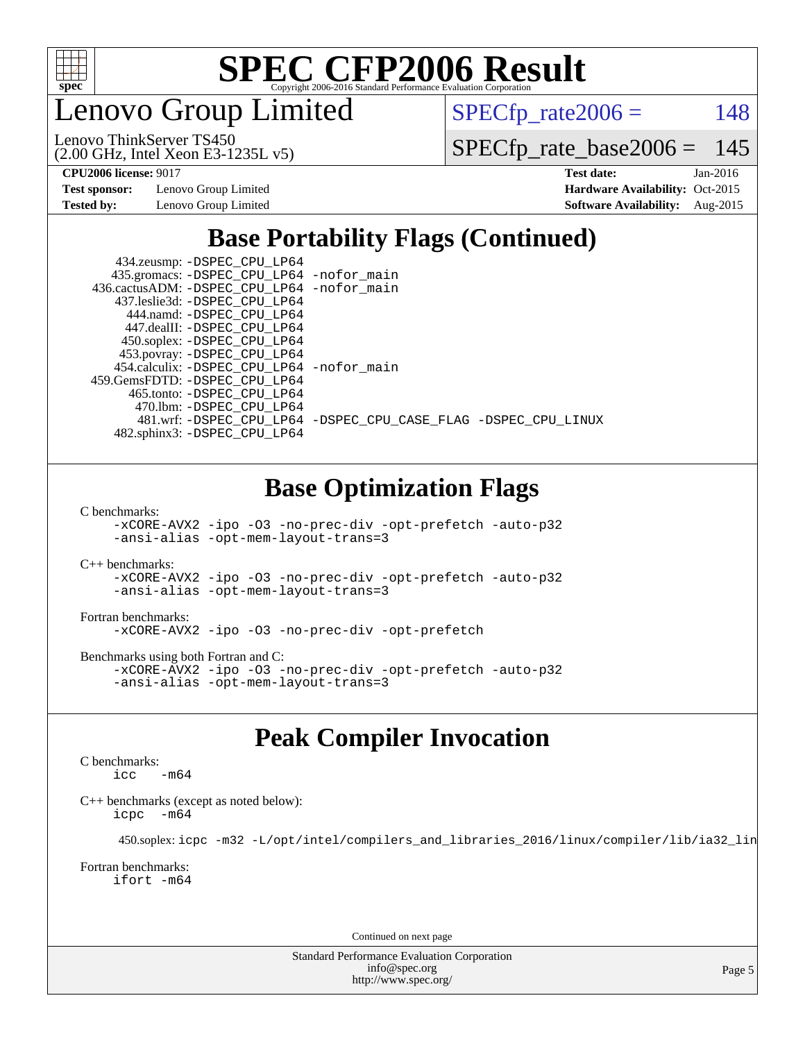

Lenovo Group Limited

 $SPECTp_rate2006 = 148$ 

(2.00 GHz, Intel Xeon E3-1235L v5) Lenovo ThinkServer TS450

[SPECfp\\_rate\\_base2006 =](http://www.spec.org/auto/cpu2006/Docs/result-fields.html#SPECfpratebase2006) 145

**[Test sponsor:](http://www.spec.org/auto/cpu2006/Docs/result-fields.html#Testsponsor)** Lenovo Group Limited **[Hardware Availability:](http://www.spec.org/auto/cpu2006/Docs/result-fields.html#HardwareAvailability)** Oct-2015

**[CPU2006 license:](http://www.spec.org/auto/cpu2006/Docs/result-fields.html#CPU2006license)** 9017 **[Test date:](http://www.spec.org/auto/cpu2006/Docs/result-fields.html#Testdate)** Jan-2016 **[Tested by:](http://www.spec.org/auto/cpu2006/Docs/result-fields.html#Testedby)** Lenovo Group Limited **[Software Availability:](http://www.spec.org/auto/cpu2006/Docs/result-fields.html#SoftwareAvailability)** Aug-2015

### **[Base Portability Flags \(Continued\)](http://www.spec.org/auto/cpu2006/Docs/result-fields.html#BasePortabilityFlags)**

 434.zeusmp: [-DSPEC\\_CPU\\_LP64](http://www.spec.org/cpu2006/results/res2016q1/cpu2006-20160125-38881.flags.html#suite_basePORTABILITY434_zeusmp_DSPEC_CPU_LP64) 435.gromacs: [-DSPEC\\_CPU\\_LP64](http://www.spec.org/cpu2006/results/res2016q1/cpu2006-20160125-38881.flags.html#suite_basePORTABILITY435_gromacs_DSPEC_CPU_LP64) [-nofor\\_main](http://www.spec.org/cpu2006/results/res2016q1/cpu2006-20160125-38881.flags.html#user_baseLDPORTABILITY435_gromacs_f-nofor_main) 436.cactusADM: [-DSPEC\\_CPU\\_LP64](http://www.spec.org/cpu2006/results/res2016q1/cpu2006-20160125-38881.flags.html#suite_basePORTABILITY436_cactusADM_DSPEC_CPU_LP64) [-nofor\\_main](http://www.spec.org/cpu2006/results/res2016q1/cpu2006-20160125-38881.flags.html#user_baseLDPORTABILITY436_cactusADM_f-nofor_main) 437.leslie3d: [-DSPEC\\_CPU\\_LP64](http://www.spec.org/cpu2006/results/res2016q1/cpu2006-20160125-38881.flags.html#suite_basePORTABILITY437_leslie3d_DSPEC_CPU_LP64) 444.namd: [-DSPEC\\_CPU\\_LP64](http://www.spec.org/cpu2006/results/res2016q1/cpu2006-20160125-38881.flags.html#suite_basePORTABILITY444_namd_DSPEC_CPU_LP64) 447.dealII: [-DSPEC\\_CPU\\_LP64](http://www.spec.org/cpu2006/results/res2016q1/cpu2006-20160125-38881.flags.html#suite_basePORTABILITY447_dealII_DSPEC_CPU_LP64) 450.soplex: [-DSPEC\\_CPU\\_LP64](http://www.spec.org/cpu2006/results/res2016q1/cpu2006-20160125-38881.flags.html#suite_basePORTABILITY450_soplex_DSPEC_CPU_LP64) 453.povray: [-DSPEC\\_CPU\\_LP64](http://www.spec.org/cpu2006/results/res2016q1/cpu2006-20160125-38881.flags.html#suite_basePORTABILITY453_povray_DSPEC_CPU_LP64) 454.calculix: [-DSPEC\\_CPU\\_LP64](http://www.spec.org/cpu2006/results/res2016q1/cpu2006-20160125-38881.flags.html#suite_basePORTABILITY454_calculix_DSPEC_CPU_LP64) [-nofor\\_main](http://www.spec.org/cpu2006/results/res2016q1/cpu2006-20160125-38881.flags.html#user_baseLDPORTABILITY454_calculix_f-nofor_main) 459.GemsFDTD: [-DSPEC\\_CPU\\_LP64](http://www.spec.org/cpu2006/results/res2016q1/cpu2006-20160125-38881.flags.html#suite_basePORTABILITY459_GemsFDTD_DSPEC_CPU_LP64) 465.tonto: [-DSPEC\\_CPU\\_LP64](http://www.spec.org/cpu2006/results/res2016q1/cpu2006-20160125-38881.flags.html#suite_basePORTABILITY465_tonto_DSPEC_CPU_LP64) 470.lbm: [-DSPEC\\_CPU\\_LP64](http://www.spec.org/cpu2006/results/res2016q1/cpu2006-20160125-38881.flags.html#suite_basePORTABILITY470_lbm_DSPEC_CPU_LP64) 481.wrf: [-DSPEC\\_CPU\\_LP64](http://www.spec.org/cpu2006/results/res2016q1/cpu2006-20160125-38881.flags.html#suite_basePORTABILITY481_wrf_DSPEC_CPU_LP64) [-DSPEC\\_CPU\\_CASE\\_FLAG](http://www.spec.org/cpu2006/results/res2016q1/cpu2006-20160125-38881.flags.html#b481.wrf_baseCPORTABILITY_DSPEC_CPU_CASE_FLAG) [-DSPEC\\_CPU\\_LINUX](http://www.spec.org/cpu2006/results/res2016q1/cpu2006-20160125-38881.flags.html#b481.wrf_baseCPORTABILITY_DSPEC_CPU_LINUX) 482.sphinx3: [-DSPEC\\_CPU\\_LP64](http://www.spec.org/cpu2006/results/res2016q1/cpu2006-20160125-38881.flags.html#suite_basePORTABILITY482_sphinx3_DSPEC_CPU_LP64)

### **[Base Optimization Flags](http://www.spec.org/auto/cpu2006/Docs/result-fields.html#BaseOptimizationFlags)**

[C benchmarks](http://www.spec.org/auto/cpu2006/Docs/result-fields.html#Cbenchmarks):

[-xCORE-AVX2](http://www.spec.org/cpu2006/results/res2016q1/cpu2006-20160125-38881.flags.html#user_CCbase_f-xAVX2_5f5fc0cbe2c9f62c816d3e45806c70d7) [-ipo](http://www.spec.org/cpu2006/results/res2016q1/cpu2006-20160125-38881.flags.html#user_CCbase_f-ipo) [-O3](http://www.spec.org/cpu2006/results/res2016q1/cpu2006-20160125-38881.flags.html#user_CCbase_f-O3) [-no-prec-div](http://www.spec.org/cpu2006/results/res2016q1/cpu2006-20160125-38881.flags.html#user_CCbase_f-no-prec-div) [-opt-prefetch](http://www.spec.org/cpu2006/results/res2016q1/cpu2006-20160125-38881.flags.html#user_CCbase_f-opt-prefetch) [-auto-p32](http://www.spec.org/cpu2006/results/res2016q1/cpu2006-20160125-38881.flags.html#user_CCbase_f-auto-p32) [-ansi-alias](http://www.spec.org/cpu2006/results/res2016q1/cpu2006-20160125-38881.flags.html#user_CCbase_f-ansi-alias) [-opt-mem-layout-trans=3](http://www.spec.org/cpu2006/results/res2016q1/cpu2006-20160125-38881.flags.html#user_CCbase_f-opt-mem-layout-trans_a7b82ad4bd7abf52556d4961a2ae94d5)

[C++ benchmarks:](http://www.spec.org/auto/cpu2006/Docs/result-fields.html#CXXbenchmarks)

[-xCORE-AVX2](http://www.spec.org/cpu2006/results/res2016q1/cpu2006-20160125-38881.flags.html#user_CXXbase_f-xAVX2_5f5fc0cbe2c9f62c816d3e45806c70d7) [-ipo](http://www.spec.org/cpu2006/results/res2016q1/cpu2006-20160125-38881.flags.html#user_CXXbase_f-ipo) [-O3](http://www.spec.org/cpu2006/results/res2016q1/cpu2006-20160125-38881.flags.html#user_CXXbase_f-O3) [-no-prec-div](http://www.spec.org/cpu2006/results/res2016q1/cpu2006-20160125-38881.flags.html#user_CXXbase_f-no-prec-div) [-opt-prefetch](http://www.spec.org/cpu2006/results/res2016q1/cpu2006-20160125-38881.flags.html#user_CXXbase_f-opt-prefetch) [-auto-p32](http://www.spec.org/cpu2006/results/res2016q1/cpu2006-20160125-38881.flags.html#user_CXXbase_f-auto-p32) [-ansi-alias](http://www.spec.org/cpu2006/results/res2016q1/cpu2006-20160125-38881.flags.html#user_CXXbase_f-ansi-alias) [-opt-mem-layout-trans=3](http://www.spec.org/cpu2006/results/res2016q1/cpu2006-20160125-38881.flags.html#user_CXXbase_f-opt-mem-layout-trans_a7b82ad4bd7abf52556d4961a2ae94d5)

#### [Fortran benchmarks](http://www.spec.org/auto/cpu2006/Docs/result-fields.html#Fortranbenchmarks):

[-xCORE-AVX2](http://www.spec.org/cpu2006/results/res2016q1/cpu2006-20160125-38881.flags.html#user_FCbase_f-xAVX2_5f5fc0cbe2c9f62c816d3e45806c70d7) [-ipo](http://www.spec.org/cpu2006/results/res2016q1/cpu2006-20160125-38881.flags.html#user_FCbase_f-ipo) [-O3](http://www.spec.org/cpu2006/results/res2016q1/cpu2006-20160125-38881.flags.html#user_FCbase_f-O3) [-no-prec-div](http://www.spec.org/cpu2006/results/res2016q1/cpu2006-20160125-38881.flags.html#user_FCbase_f-no-prec-div) [-opt-prefetch](http://www.spec.org/cpu2006/results/res2016q1/cpu2006-20160125-38881.flags.html#user_FCbase_f-opt-prefetch)

[Benchmarks using both Fortran and C](http://www.spec.org/auto/cpu2006/Docs/result-fields.html#BenchmarksusingbothFortranandC):

[-xCORE-AVX2](http://www.spec.org/cpu2006/results/res2016q1/cpu2006-20160125-38881.flags.html#user_CC_FCbase_f-xAVX2_5f5fc0cbe2c9f62c816d3e45806c70d7) [-ipo](http://www.spec.org/cpu2006/results/res2016q1/cpu2006-20160125-38881.flags.html#user_CC_FCbase_f-ipo) [-O3](http://www.spec.org/cpu2006/results/res2016q1/cpu2006-20160125-38881.flags.html#user_CC_FCbase_f-O3) [-no-prec-div](http://www.spec.org/cpu2006/results/res2016q1/cpu2006-20160125-38881.flags.html#user_CC_FCbase_f-no-prec-div) [-opt-prefetch](http://www.spec.org/cpu2006/results/res2016q1/cpu2006-20160125-38881.flags.html#user_CC_FCbase_f-opt-prefetch) [-auto-p32](http://www.spec.org/cpu2006/results/res2016q1/cpu2006-20160125-38881.flags.html#user_CC_FCbase_f-auto-p32) [-ansi-alias](http://www.spec.org/cpu2006/results/res2016q1/cpu2006-20160125-38881.flags.html#user_CC_FCbase_f-ansi-alias) [-opt-mem-layout-trans=3](http://www.spec.org/cpu2006/results/res2016q1/cpu2006-20160125-38881.flags.html#user_CC_FCbase_f-opt-mem-layout-trans_a7b82ad4bd7abf52556d4961a2ae94d5)

### **[Peak Compiler Invocation](http://www.spec.org/auto/cpu2006/Docs/result-fields.html#PeakCompilerInvocation)**

#### [C benchmarks](http://www.spec.org/auto/cpu2006/Docs/result-fields.html#Cbenchmarks):

 $\frac{1}{2}$ cc  $-\text{m64}$ 

[C++ benchmarks \(except as noted below\):](http://www.spec.org/auto/cpu2006/Docs/result-fields.html#CXXbenchmarksexceptasnotedbelow) [icpc -m64](http://www.spec.org/cpu2006/results/res2016q1/cpu2006-20160125-38881.flags.html#user_CXXpeak_intel_icpc_64bit_bedb90c1146cab66620883ef4f41a67e)

450.soplex: [icpc -m32 -L/opt/intel/compilers\\_and\\_libraries\\_2016/linux/compiler/lib/ia32\\_lin](http://www.spec.org/cpu2006/results/res2016q1/cpu2006-20160125-38881.flags.html#user_peakCXXLD450_soplex_intel_icpc_b4f50a394bdb4597aa5879c16bc3f5c5)

#### [Fortran benchmarks](http://www.spec.org/auto/cpu2006/Docs/result-fields.html#Fortranbenchmarks): [ifort -m64](http://www.spec.org/cpu2006/results/res2016q1/cpu2006-20160125-38881.flags.html#user_FCpeak_intel_ifort_64bit_ee9d0fb25645d0210d97eb0527dcc06e)

Continued on next page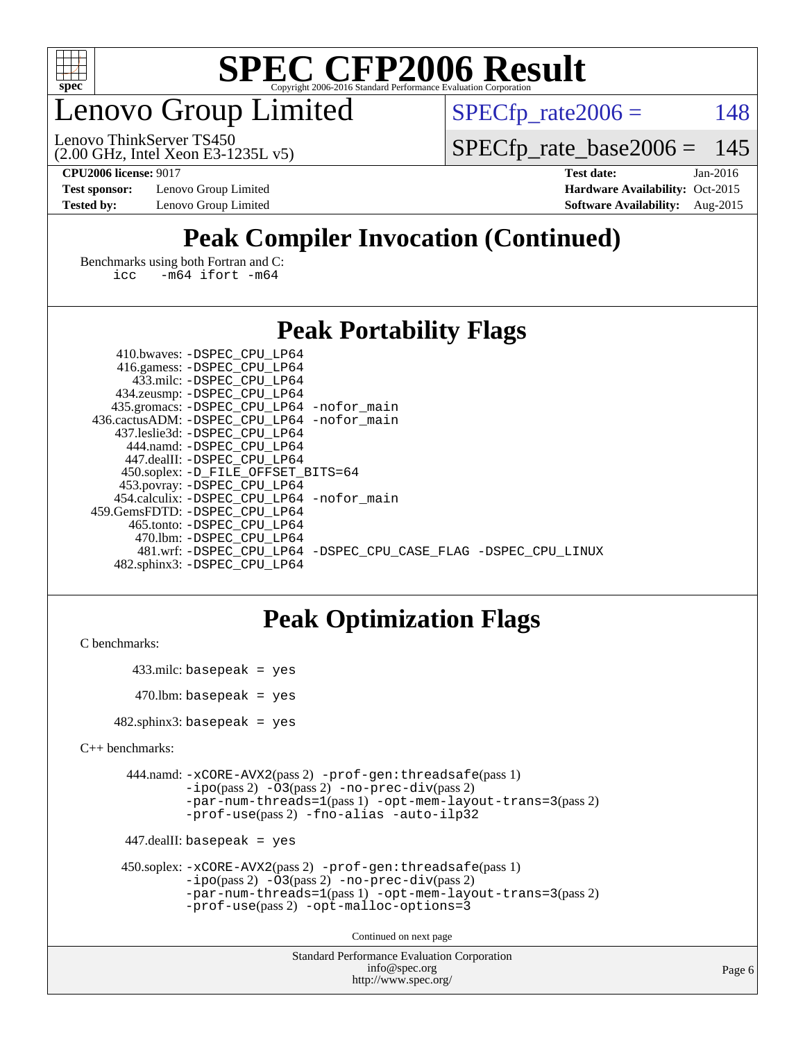

### enovo Group Limited

 $SPECTp_rate2006 = 148$ 

(2.00 GHz, Intel Xeon E3-1235L v5) Lenovo ThinkServer TS450

[SPECfp\\_rate\\_base2006 =](http://www.spec.org/auto/cpu2006/Docs/result-fields.html#SPECfpratebase2006) 145

**[CPU2006 license:](http://www.spec.org/auto/cpu2006/Docs/result-fields.html#CPU2006license)** 9017 **[Test date:](http://www.spec.org/auto/cpu2006/Docs/result-fields.html#Testdate)** Jan-2016 **[Test sponsor:](http://www.spec.org/auto/cpu2006/Docs/result-fields.html#Testsponsor)** Lenovo Group Limited **[Hardware Availability:](http://www.spec.org/auto/cpu2006/Docs/result-fields.html#HardwareAvailability)** Oct-2015 **[Tested by:](http://www.spec.org/auto/cpu2006/Docs/result-fields.html#Testedby)** Lenovo Group Limited **[Software Availability:](http://www.spec.org/auto/cpu2006/Docs/result-fields.html#SoftwareAvailability)** Aug-2015

### **[Peak Compiler Invocation \(Continued\)](http://www.spec.org/auto/cpu2006/Docs/result-fields.html#PeakCompilerInvocation)**

[Benchmarks using both Fortran and C](http://www.spec.org/auto/cpu2006/Docs/result-fields.html#BenchmarksusingbothFortranandC): [icc -m64](http://www.spec.org/cpu2006/results/res2016q1/cpu2006-20160125-38881.flags.html#user_CC_FCpeak_intel_icc_64bit_0b7121f5ab7cfabee23d88897260401c) [ifort -m64](http://www.spec.org/cpu2006/results/res2016q1/cpu2006-20160125-38881.flags.html#user_CC_FCpeak_intel_ifort_64bit_ee9d0fb25645d0210d97eb0527dcc06e)

### **[Peak Portability Flags](http://www.spec.org/auto/cpu2006/Docs/result-fields.html#PeakPortabilityFlags)**

| 410.bwaves: -DSPEC CPU LP64                 |                                                                |
|---------------------------------------------|----------------------------------------------------------------|
| 416.gamess: -DSPEC_CPU_LP64                 |                                                                |
| 433.milc: -DSPEC CPU LP64                   |                                                                |
| 434.zeusmp: -DSPEC_CPU_LP64                 |                                                                |
| 435.gromacs: -DSPEC_CPU_LP64 -nofor_main    |                                                                |
| 436.cactusADM: -DSPEC CPU LP64 -nofor main  |                                                                |
| 437.leslie3d: -DSPEC CPU LP64               |                                                                |
| 444.namd: - DSPEC_CPU LP64                  |                                                                |
| 447.dealII: -DSPEC CPU LP64                 |                                                                |
| 450.soplex: -D_FILE_OFFSET_BITS=64          |                                                                |
| 453.povray: -DSPEC_CPU_LP64                 |                                                                |
| 454.calculix: - DSPEC CPU LP64 - nofor main |                                                                |
| 459.GemsFDTD: -DSPEC CPU LP64               |                                                                |
| 465.tonto: - DSPEC CPU LP64                 |                                                                |
| 470.1bm: - DSPEC CPU LP64                   |                                                                |
|                                             | 481.wrf: -DSPEC CPU_LP64 -DSPEC_CPU_CASE_FLAG -DSPEC_CPU_LINUX |
| 482.sphinx3: -DSPEC CPU LP64                |                                                                |

### **[Peak Optimization Flags](http://www.spec.org/auto/cpu2006/Docs/result-fields.html#PeakOptimizationFlags)**

```
C benchmarks:
```

```
 433.milc: basepeak = yes
470.lbm: basepeak = yes
```
482.sphinx3: basepeak = yes

```
C++ benchmarks:
```

```
 444.namd: -xCORE-AVX2(pass 2) -prof-gen:threadsafe(pass 1)
         -i\text{po}(pass 2) -\overline{O}3(pass 2)-no-prec-div(pass 2)
         -par-num-threads=1(pass 1) -opt-mem-layout-trans=3(pass 2)
         -prof-use(pass 2) -fno-alias -auto-ilp32
```

```
 447.dealII: basepeak = yes
```

```
 450.soplex: -xCORE-AVX2(pass 2) -prof-gen:threadsafe(pass 1)
         -ipo(pass 2) -O3(pass 2) -no-prec-div(pass 2)
         -par-num-threads=1(pass 1) -opt-mem-layout-trans=3(pass 2)
         -prof-use(pass 2) -opt-malloc-options=3
```
Continued on next page

```
Standard Performance Evaluation Corporation
              info@spec.org
           http://www.spec.org/
```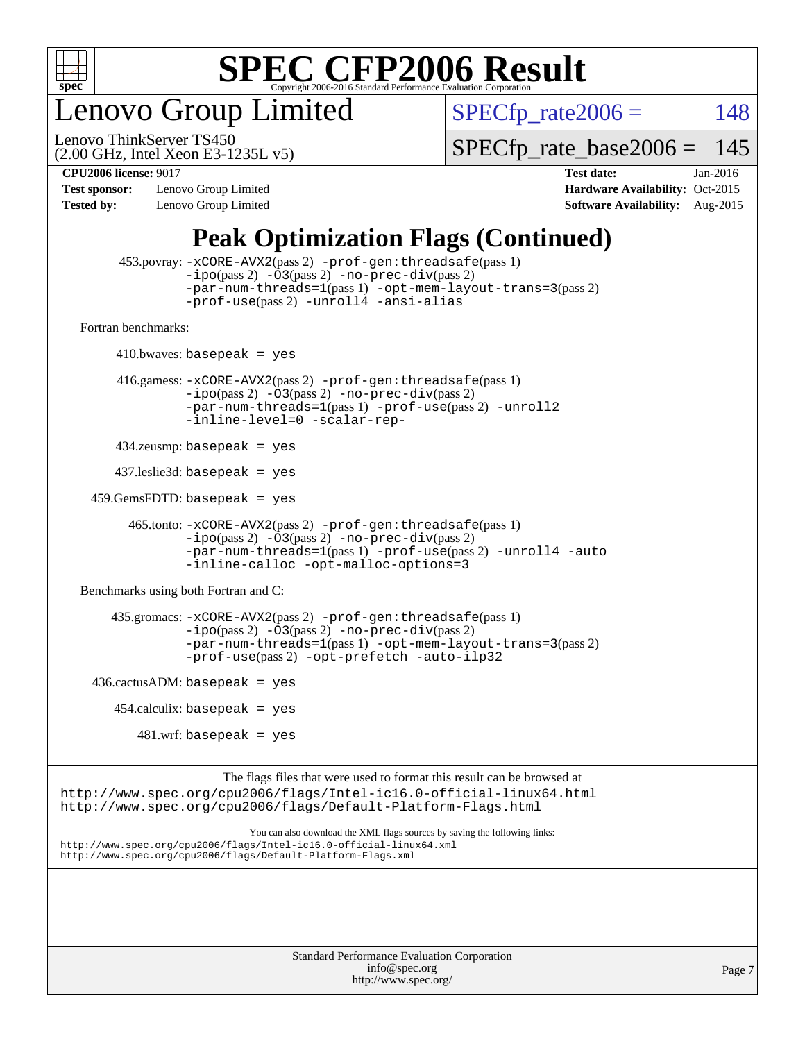

enovo Group Limited

 $SPECTp_rate2006 = 148$ 

(2.00 GHz, Intel Xeon E3-1235L v5) Lenovo ThinkServer TS450

[SPECfp\\_rate\\_base2006 =](http://www.spec.org/auto/cpu2006/Docs/result-fields.html#SPECfpratebase2006) 145

**[Test sponsor:](http://www.spec.org/auto/cpu2006/Docs/result-fields.html#Testsponsor)** Lenovo Group Limited **[Hardware Availability:](http://www.spec.org/auto/cpu2006/Docs/result-fields.html#HardwareAvailability)** Oct-2015

**[CPU2006 license:](http://www.spec.org/auto/cpu2006/Docs/result-fields.html#CPU2006license)** 9017 **[Test date:](http://www.spec.org/auto/cpu2006/Docs/result-fields.html#Testdate)** Jan-2016 **[Tested by:](http://www.spec.org/auto/cpu2006/Docs/result-fields.html#Testedby)** Lenovo Group Limited **[Software Availability:](http://www.spec.org/auto/cpu2006/Docs/result-fields.html#SoftwareAvailability)** Aug-2015

### **[Peak Optimization Flags \(Continued\)](http://www.spec.org/auto/cpu2006/Docs/result-fields.html#PeakOptimizationFlags)**

```
 453.povray: -xCORE-AVX2(pass 2) -prof-gen:threadsafe(pass 1)
                   -i\text{po}(pass 2) -\overset{\sim}{O}3(pass 2)-no-prec-div(pass 2)
                   -par-num-threads=1(pass 1) -opt-mem-layout-trans=3(pass 2)
                   -prof-use(pass 2) -unroll4 -ansi-alias
   Fortran benchmarks: 
        410.bwaves: basepeak = yes 416.gamess: -xCORE-AVX2(pass 2) -prof-gen:threadsafe(pass 1)
                   -ipo(pass 2) -O3(pass 2) -no-prec-div(pass 2)
                   -par-num-threads=1(pass 1) -prof-use(pass 2) -unroll2
                   -inline-level=0 -scalar-rep-
         434.zeusmp: basepeak = yes
         437.leslie3d: basepeak = yes
     459.GemsFDTD: basepeak = yes
           465.tonto: -xCORE-AVX2(pass 2) -prof-gen:threadsafe(pass 1)
                   -i\text{po}(pass 2) -03(pass 2)-no-prec-div(pass 2)
                   -par-num-threads=1(pass 1) -prof-use(pass 2) -unroll4 -auto
                   -inline-calloc -opt-malloc-options=3
   Benchmarks using both Fortran and C: 
         435.gromacs: -xCORE-AVX2(pass 2) -prof-gen:threadsafe(pass 1)
                   -i\text{po}(pass 2) -\tilde{O}3(pass 2)-no-prec-div(pass 2)
                   -par-num-threads=1(pass 1) -opt-mem-layout-trans=3(pass 2)
                   -prof-use(pass 2) -opt-prefetch -auto-ilp32
    436.cactusADM:basepeak = yes454.calculix: basepeak = yes
            481 \text{.m}: basepeak = yes
                         The flags files that were used to format this result can be browsed at
http://www.spec.org/cpu2006/flags/Intel-ic16.0-official-linux64.html
http://www.spec.org/cpu2006/flags/Default-Platform-Flags.html
                             You can also download the XML flags sources by saving the following links:
http://www.spec.org/cpu2006/flags/Intel-ic16.0-official-linux64.xml
http://www.spec.org/cpu2006/flags/Default-Platform-Flags.xml
```